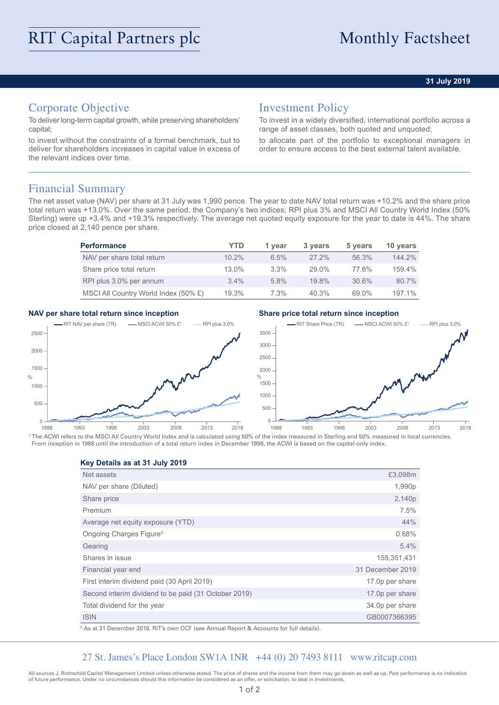### **31 July 2019**

# Corporate Objective

To deliver long-term capital growth, while preserving shareholders' capital;

to invest without the constraints of a formal benchmark, but to deliver for shareholders increases in capital value in excess of the relevant indices over time.

## Investment Policy

To invest in a widely diversified, international portfolio across a range of asset classes, both quoted and unquoted;

to allocate part of the portfolio to exceptional managers in order to ensure access to the best external talent available.

## Financial Summary

The net asset value (NAV) per share at 31 July was 1,990 pence. The year to date NAV total return was +10.2% and the share price total return was +13.0%. Over the same period, the Company's two indices; RPI plus 3% and MSCI All Country World Index (50% Sterling) were up +3.4% and +19.3% respectively. The average net quoted equity exposure for the year to date is 44%. The share price closed at 2,140 pence per share.

| <b>Performance</b>                   | YTD      | 1 vear  | 3 years  | 5 years | 10 years |
|--------------------------------------|----------|---------|----------|---------|----------|
| NAV per share total return           | 10.2%    | 6.5%    | $27.2\%$ | 56.3%   | 144.2%   |
| Share price total return             | $13.0\%$ | $3.3\%$ | $29.0\%$ | 77.6%   | 159.4%   |
| RPI plus 3.0% per annum              | $3.4\%$  | $5.8\%$ | 19.8%    | 30.6%   | 80.7%    |
| MSCI All Country World Index (50% £) | 19.3%    | $7.3\%$ | 40.3%    | 69.0%   | 197.1%   |

### **NAV per share total return since inception Share price total return since inception**



<sup>1</sup> The ACWI refers to the MSCI All Country World Index and is calculated using 50% of the index measured in Sterling and 50% measured in local currencies. From inception in 1988 until the introduction of a total return index in December 1998, the ACWI is based on the capital-only index.

**Key Details as at 31 July 2019**

| Net assets                                           | £3,098m          |
|------------------------------------------------------|------------------|
|                                                      |                  |
| NAV per share (Diluted)                              | 1,990p           |
| Share price                                          | 2,140p           |
| Premium                                              | 7.5%             |
| Average net equity exposure (YTD)                    | 44%              |
| Ongoing Charges Figure <sup>2</sup>                  | 0.68%            |
| Gearing                                              | 5.4%             |
| Shares in issue                                      | 155,351,431      |
| Financial year end                                   | 31 December 2019 |
| First interim dividend paid (30 April 2019)          | 17.0p per share  |
| Second interim dividend to be paid (31 October 2019) | 17.0p per share  |
| Total dividend for the year                          | 34.0p per share  |
| <b>ISIN</b>                                          | GB0007366395     |

2 As at 31 December 2018. RIT's own OCF (see Annual Report & Accounts for full details).

### 27 St. James's Place London SW1A 1NR +44 (0) 20 7493 8111 www.ritcap.com

All sources J. Rothschild Capital Management Limited unless otherwise stated. The price of shares and the income from them may go down as well as up. Past performance is no indication of future performance. Under no circumstances should this information be considered as an offer, or solicitation, to deal in investments.